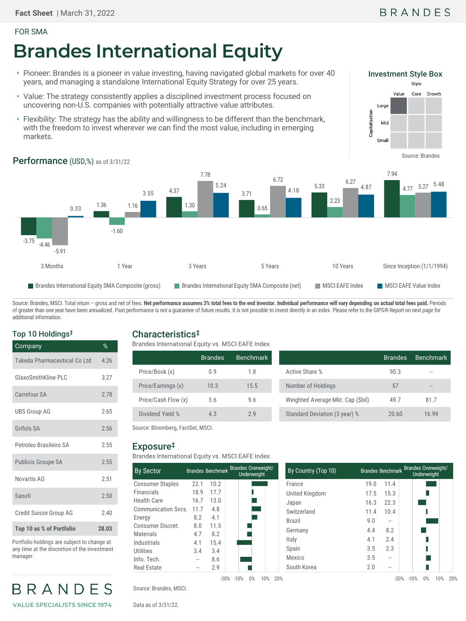#### FOR SMA

# **Brandes International Equity**

- Pioneer: Brandes is a pioneer in value investing, having navigated global markets for over 40 years, and managing a standalone International Equity Strategy for over 25 years.
- Value: The strategy consistently applies a disciplined investment process focused on uncovering non-U.S. companies with potentially attractive value attributes.
- Flexibility: The strategy has the ability and willingness to be different than the benchmark, with the freedom to invest wherever we can find the most value, including in emerging markets.



## Performance (USD,%) as of 3/31/22



Source: Brandes, MSCI. Total return - gross and net of fees. Net performance assumes 3% total fees to the end investor. Individual performance will vary depending on actual total fees paid. Periods of greater than one year have been annualized. Past performance is not a guarantee of future results. It is not possible to invest directly in an index. Please refer to the GIPS® Report on next page for additional information.

### Top 10 Holdings‡

| Company                      | %     |
|------------------------------|-------|
| Takeda Pharmaceutical Co Ltd | 4.26  |
| GlaxoSmithKline PLC          | 3.27  |
| Carrefour SA                 | 2.78  |
| <b>UBS Group AG</b>          | 2.65  |
| Grifols SA                   | 2.56  |
| Petroleo Brasileiro SA       | 2.55  |
| <b>Publicis Groupe SA</b>    | 2.55  |
| Novartis AG                  | 2.51  |
| Sanofi                       | 2.50  |
| Credit Suisse Group AG       | 2.40  |
| Top 10 as % of Portfolio     | 28.03 |

Portfolio holdings are subject to change at any time at the discretion of the investment

**VALUE SPECIALISTS SINCE 1974**

BRANDE

manager.

Characteristics‡ Brandes International Equity vs. MSCI EAFE Index

|                     | <b>Brandes</b> | <b>Benchmark</b> |                                   | <b>Brandes</b> | <b>Benchmark</b> |  |  |
|---------------------|----------------|------------------|-----------------------------------|----------------|------------------|--|--|
| Price/Book (x)      | 0.9            | 1.8              | Active Share %                    | 90.3           | $- -$            |  |  |
| Price/Earnings (x)  | 10.3           | 15.5             | Number of Holdings                | 57             |                  |  |  |
| Price/Cash Flow (x) | 3.6            | 9.6              | Weighted Average Mkt. Cap (\$bil) | 49.7           | 81.7             |  |  |
| Dividend Yield %    | 4.3            | 2.9              | Standard Deviation (3 year) %     | 20.60          | 16.99            |  |  |
|                     |                |                  |                                   |                |                  |  |  |

Source: Bloomberg, FactSet, MSCI.

#### Exposure‡

Brandes International Equity vs. MSCI EAFE Index

| <b>By Sector</b>        |      | Brandes Benchmark | <b>Brandes Overweight/</b><br>Underweight |
|-------------------------|------|-------------------|-------------------------------------------|
| <b>Consumer Staples</b> | 22.1 | 10.2              |                                           |
| <b>Financials</b>       | 18.9 | 17.7              |                                           |
| Health Care             | 16.7 | 13.0              |                                           |
| Communication Sycs.     | 11.7 | 4.8               |                                           |
| Energy                  | 8.2  | 4.1               |                                           |
| Consumer Discret.       | 8.0  | 11.5              |                                           |
| Materials               | 4.7  | 8.2               |                                           |
| Industrials             | 4.1  | 15.4              |                                           |
| Utilities               | 3.4  | 3.4               |                                           |
| Info. Tech.             |      | 8.6               |                                           |
| Real Estate             |      | 2.9               |                                           |

| 19.0<br>17.5 | 11.4 |               |
|--------------|------|---------------|
|              |      |               |
|              | 15.3 |               |
| 16.3         | 22.3 |               |
| 11.4         | 10.4 |               |
| 9.0          | --   |               |
| 4.4          | 8.2  |               |
| 4.1          | 2.4  |               |
| 3.5          | 2.3  |               |
| 3.5          | --   |               |
| 2.0          | --   |               |
|              |      | $-20\% -10\%$ |

Source: Brandes, MSCI.

Data as of 3/31/22.